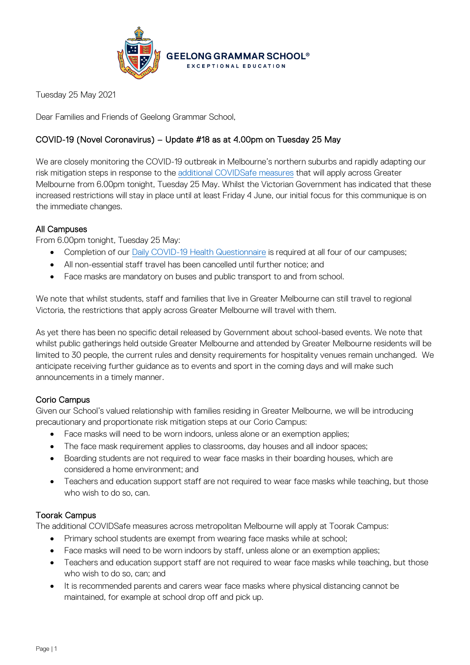

Tuesday 25 May 2021

Dear Families and Friends of Geelong Grammar School,

# COVID-19 (Novel Coronavirus) – Update #18 as at 4.00pm on Tuesday 25 May

We are closely monitoring the COVID-19 outbreak in Melbourne's northern suburbs and rapidly adapting our risk mitigation steps in response to the [additional COVIDSafe measures](https://www.coronavirus.vic.gov.au/coronavirus-covidsafe-settings) that will apply across Greater Melbourne from 6.00pm tonight, Tuesday 25 May. Whilst the Victorian Government has indicated that these increased restrictions will stay in place until at least Friday 4 June, our initial focus for this communique is on the immediate changes.

## All Campuses

From 6.00pm tonight, Tuesday 25 May:

- Completion of our [Daily COVID-19 Health Questionnaire](https://forms.office.com/Pages/ResponsePage.aspx?id=ELu_KfmYBkWxD1P2rSx8Ev-kTHtY0BRDgodmf5vZO-ZUMlA3SjBJOTlGTENIQk5aVjlRMFdIMTZCQS4u&fswReload=1&fswNavStart=1621917974848) is required at all four of our campuses;
- All non-essential staff travel has been cancelled until further notice; and
- Face masks are mandatory on buses and public transport to and from school.

We note that whilst students, staff and families that live in Greater Melbourne can still travel to regional Victoria, the restrictions that apply across Greater Melbourne will travel with them.

As yet there has been no specific detail released by Government about school-based events. We note that whilst public gatherings held outside Greater Melbourne and attended by Greater Melbourne residents will be limited to 30 people, the current rules and density requirements for hospitality venues remain unchanged. We anticipate receiving further guidance as to events and sport in the coming days and will make such announcements in a timely manner.

### Corio Campus

Given our School's valued relationship with families residing in Greater Melbourne, we will be introducing precautionary and proportionate risk mitigation steps at our Corio Campus:

- Face masks will need to be worn indoors, unless alone or an exemption applies;
- The face mask requirement applies to classrooms, day houses and all indoor spaces;
- Boarding students are not required to wear face masks in their boarding houses, which are considered a home environment; and
- Teachers and education support staff are not required to wear face masks while teaching, but those who wish to do so, can.

### Toorak Campus

The additional COVIDSafe measures across metropolitan Melbourne will apply at Toorak Campus:

- Primary school students are exempt from wearing face masks while at school;
- Face masks will need to be worn indoors by staff, unless alone or an exemption applies;
- Teachers and education support staff are not required to wear face masks while teaching, but those who wish to do so, can; and
- It is recommended parents and carers wear face masks where physical distancing cannot be maintained, for example at school drop off and pick up.